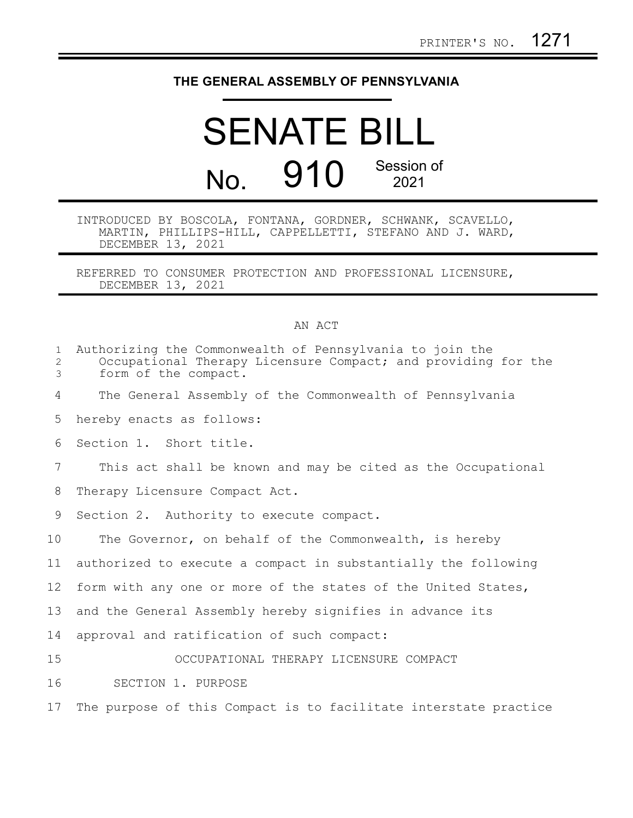## **THE GENERAL ASSEMBLY OF PENNSYLVANIA**

## SENATE BILL No. 910 Session of 2021

## INTRODUCED BY BOSCOLA, FONTANA, GORDNER, SCHWANK, SCAVELLO, MARTIN, PHILLIPS-HILL, CAPPELLETTI, STEFANO AND J. WARD, DECEMBER 13, 2021

REFERRED TO CONSUMER PROTECTION AND PROFESSIONAL LICENSURE, DECEMBER 13, 2021

## AN ACT

| $\mathbf{1}$<br>2<br>3 | Authorizing the Commonwealth of Pennsylvania to join the<br>Occupational Therapy Licensure Compact; and providing for the<br>form of the compact. |
|------------------------|---------------------------------------------------------------------------------------------------------------------------------------------------|
| 4                      | The General Assembly of the Commonwealth of Pennsylvania                                                                                          |
| 5                      | hereby enacts as follows:                                                                                                                         |
| 6                      | Section 1. Short title.                                                                                                                           |
| 7                      | This act shall be known and may be cited as the Occupational                                                                                      |
| 8                      | Therapy Licensure Compact Act.                                                                                                                    |
| 9                      | Section 2. Authority to execute compact.                                                                                                          |
| 10                     | The Governor, on behalf of the Commonwealth, is hereby                                                                                            |
| 11                     | authorized to execute a compact in substantially the following                                                                                    |
| 12                     | form with any one or more of the states of the United States,                                                                                     |
| 13                     | and the General Assembly hereby signifies in advance its                                                                                          |
| 14                     | approval and ratification of such compact:                                                                                                        |
| 15                     | OCCUPATIONAL THERAPY LICENSURE COMPACT                                                                                                            |
| 16                     | SECTION 1. PURPOSE                                                                                                                                |
| 17                     | The purpose of this Compact is to facilitate interstate practice                                                                                  |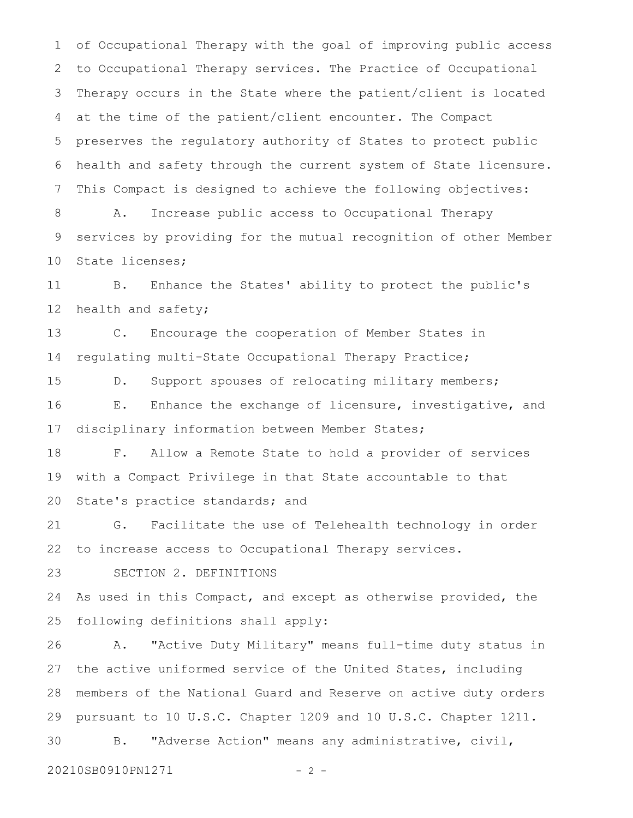of Occupational Therapy with the goal of improving public access to Occupational Therapy services. The Practice of Occupational Therapy occurs in the State where the patient/client is located at the time of the patient/client encounter. The Compact preserves the regulatory authority of States to protect public health and safety through the current system of State licensure. This Compact is designed to achieve the following objectives: A. Increase public access to Occupational Therapy services by providing for the mutual recognition of other Member 1 2 3 4 5 6 7 8 9

State licenses; 10

 B. Enhance the States' ability to protect the public's health and safety; 11 12

 C. Encourage the cooperation of Member States in regulating multi-State Occupational Therapy Practice; 13 14

D. Support spouses of relocating military members; E. Enhance the exchange of licensure, investigative, and disciplinary information between Member States; 15 16 17

 F. Allow a Remote State to hold a provider of services with a Compact Privilege in that State accountable to that State's practice standards; and 18 19 20

 G. Facilitate the use of Telehealth technology in order to increase access to Occupational Therapy services. 21 22

 SECTION 2. DEFINITIONS 23

As used in this Compact, and except as otherwise provided, the following definitions shall apply: 24 25

 A. "Active Duty Military" means full-time duty status in the active uniformed service of the United States, including members of the National Guard and Reserve on active duty orders pursuant to 10 U.S.C. Chapter 1209 and 10 U.S.C. Chapter 1211. B. "Adverse Action" means any administrative, civil, 26 27 28 29 30

20210SB0910PN1271 - 2 -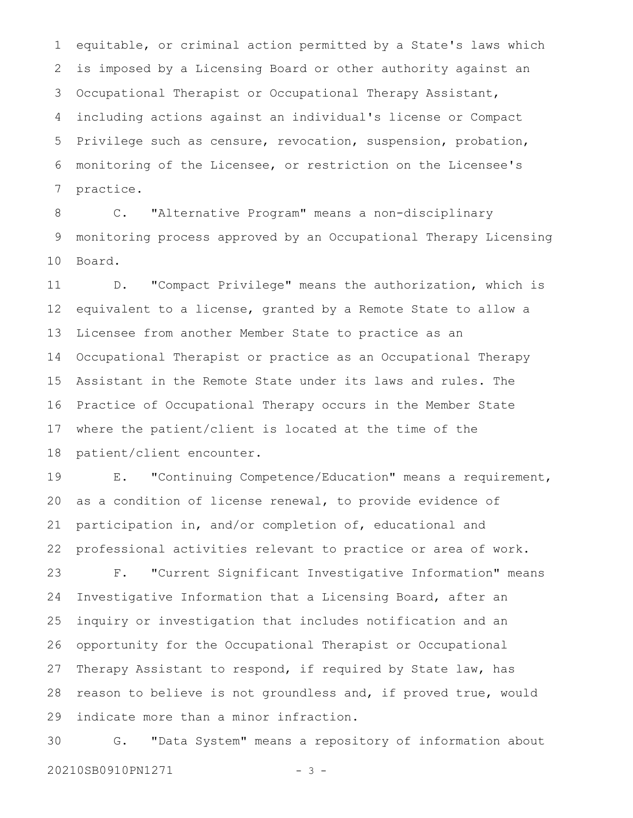equitable, or criminal action permitted by a State's laws which is imposed by a Licensing Board or other authority against an Occupational Therapist or Occupational Therapy Assistant, including actions against an individual's license or Compact Privilege such as censure, revocation, suspension, probation, monitoring of the Licensee, or restriction on the Licensee's practice. 1 2 3 4 5 6 7

 C. "Alternative Program" means a non-disciplinary monitoring process approved by an Occupational Therapy Licensing Board. 8 9 10

 D. "Compact Privilege" means the authorization, which is equivalent to a license, granted by a Remote State to allow a Licensee from another Member State to practice as an Occupational Therapist or practice as an Occupational Therapy Assistant in the Remote State under its laws and rules. The Practice of Occupational Therapy occurs in the Member State where the patient/client is located at the time of the patient/client encounter. 11 12 13 14 15 16 17 18

 E. "Continuing Competence/Education" means a requirement, as a condition of license renewal, to provide evidence of participation in, and/or completion of, educational and professional activities relevant to practice or area of work. 19 20 21 22

 F. "Current Significant Investigative Information" means Investigative Information that a Licensing Board, after an inquiry or investigation that includes notification and an opportunity for the Occupational Therapist or Occupational Therapy Assistant to respond, if required by State law, has reason to believe is not groundless and, if proved true, would indicate more than a minor infraction. 23 24 25 26 27 28 29

 G. "Data System" means a repository of information about 20210SB0910PN1271 - 3 -30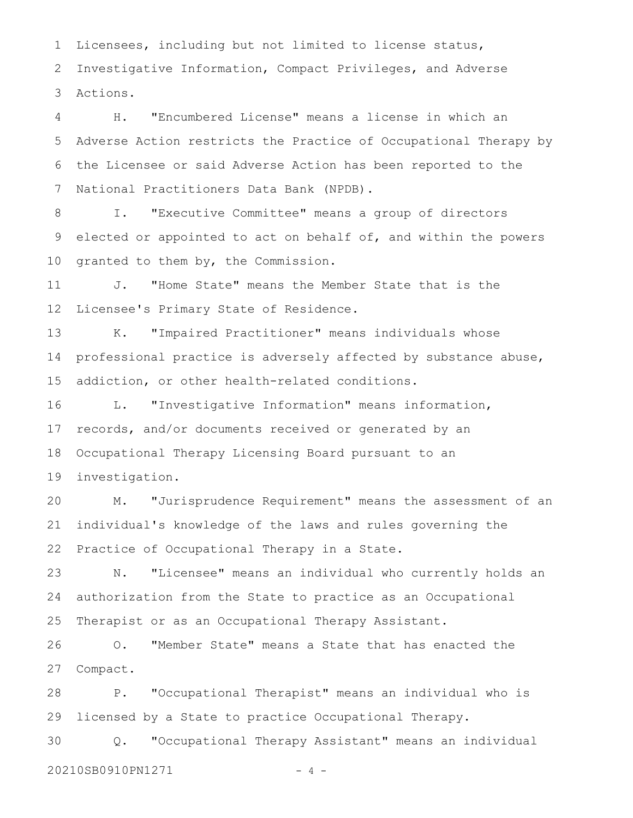Licensees, including but not limited to license status, Investigative Information, Compact Privileges, and Adverse Actions. 1 2 3

 H. "Encumbered License" means a license in which an Adverse Action restricts the Practice of Occupational Therapy by the Licensee or said Adverse Action has been reported to the National Practitioners Data Bank (NPDB). 4 5 6 7

 I. "Executive Committee" means a group of directors elected or appointed to act on behalf of, and within the powers granted to them by, the Commission. 8 9 10

 J. "Home State" means the Member State that is the Licensee's Primary State of Residence. 11 12

 K. "Impaired Practitioner" means individuals whose professional practice is adversely affected by substance abuse, addiction, or other health-related conditions. 13 14 15

 L. "Investigative Information" means information, records, and/or documents received or generated by an Occupational Therapy Licensing Board pursuant to an investigation. 16 17 18 19

 M. "Jurisprudence Requirement" means the assessment of an individual's knowledge of the laws and rules governing the Practice of Occupational Therapy in a State. 20 21 22

 N. "Licensee" means an individual who currently holds an authorization from the State to practice as an Occupational Therapist or as an Occupational Therapy Assistant. 23 24 25

 O. "Member State" means a State that has enacted the Compact. 26 27

 P. "Occupational Therapist" means an individual who is licensed by a State to practice Occupational Therapy. 28 29

 Q. "Occupational Therapy Assistant" means an individual 20210SB0910PN1271 - 4 -30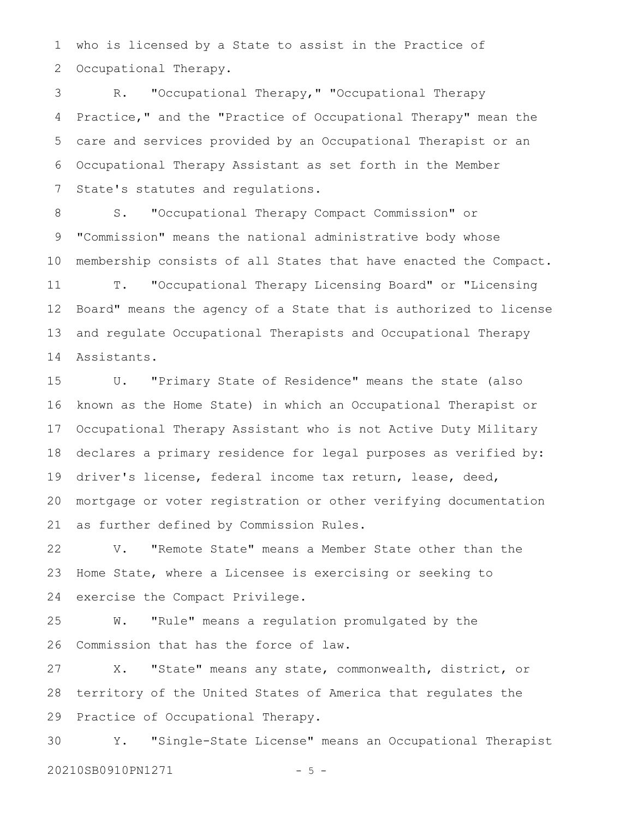who is licensed by a State to assist in the Practice of Occupational Therapy. 1 2

 R. "Occupational Therapy," "Occupational Therapy Practice," and the "Practice of Occupational Therapy" mean the care and services provided by an Occupational Therapist or an Occupational Therapy Assistant as set forth in the Member State's statutes and regulations. 3 4 5 6 7

 S. "Occupational Therapy Compact Commission" or "Commission" means the national administrative body whose membership consists of all States that have enacted the Compact. T. "Occupational Therapy Licensing Board" or "Licensing Board" means the agency of a State that is authorized to license and regulate Occupational Therapists and Occupational Therapy Assistants. 8 9 10 11 12 13 14

 U. "Primary State of Residence" means the state (also known as the Home State) in which an Occupational Therapist or Occupational Therapy Assistant who is not Active Duty Military declares a primary residence for legal purposes as verified by: driver's license, federal income tax return, lease, deed, mortgage or voter registration or other verifying documentation as further defined by Commission Rules. 15 16 17 18 19 20 21

 V. "Remote State" means a Member State other than the Home State, where a Licensee is exercising or seeking to exercise the Compact Privilege. 22 23 24

 W. "Rule" means a regulation promulgated by the Commission that has the force of law. 25 26

 X. "State" means any state, commonwealth, district, or territory of the United States of America that regulates the Practice of Occupational Therapy. 27 28 29

 Y. "Single-State License" means an Occupational Therapist 20210SB0910PN1271 - 5 -30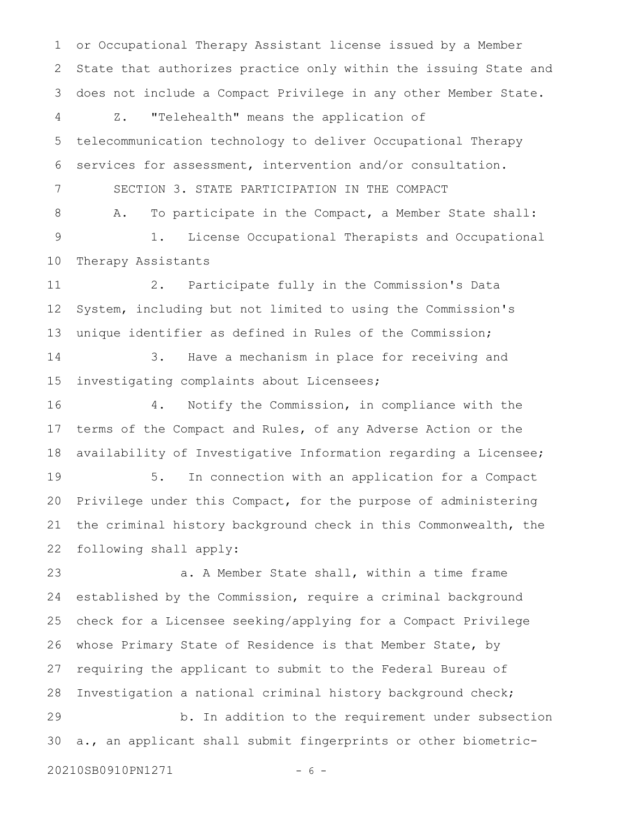or Occupational Therapy Assistant license issued by a Member State that authorizes practice only within the issuing State and does not include a Compact Privilege in any other Member State. Z. "Telehealth" means the application of telecommunication technology to deliver Occupational Therapy services for assessment, intervention and/or consultation. SECTION 3. STATE PARTICIPATION IN THE COMPACT A. To participate in the Compact, a Member State shall: 1. License Occupational Therapists and Occupational Therapy Assistants 2. Participate fully in the Commission's Data System, including but not limited to using the Commission's unique identifier as defined in Rules of the Commission; 3. Have a mechanism in place for receiving and investigating complaints about Licensees; 4. Notify the Commission, in compliance with the terms of the Compact and Rules, of any Adverse Action or the availability of Investigative Information regarding a Licensee; 5. In connection with an application for a Compact Privilege under this Compact, for the purpose of administering the criminal history background check in this Commonwealth, the following shall apply: a. A Member State shall, within a time frame established by the Commission, require a criminal background check for a Licensee seeking/applying for a Compact Privilege whose Primary State of Residence is that Member State, by requiring the applicant to submit to the Federal Bureau of Investigation a national criminal history background check; 1 2 3 4 5 6 7 8 9 10 11 12 13 14 15 16 17 18 19 20 21 22 23 24 25 26 27 28

 b. In addition to the requirement under subsection a., an applicant shall submit fingerprints or other biometric-29 30

20210SB0910PN1271 - 6 -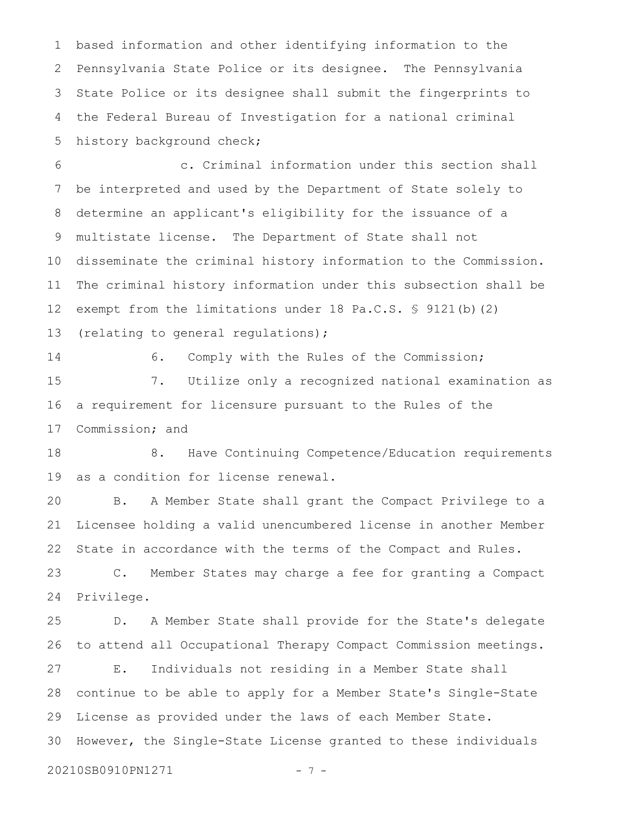based information and other identifying information to the Pennsylvania State Police or its designee. The Pennsylvania State Police or its designee shall submit the fingerprints to the Federal Bureau of Investigation for a national criminal history background check; 1 2 3 4 5

 c. Criminal information under this section shall be interpreted and used by the Department of State solely to determine an applicant's eligibility for the issuance of a multistate license. The Department of State shall not disseminate the criminal history information to the Commission. The criminal history information under this subsection shall be exempt from the limitations under 18 Pa.C.S. § 9121(b)(2) (relating to general regulations); 6 7 8 9 10 11 12 13

14

6. Comply with the Rules of the Commission;

 7. Utilize only a recognized national examination as a requirement for licensure pursuant to the Rules of the Commission; and 15 16 17

 8. Have Continuing Competence/Education requirements as a condition for license renewal. 18 19

 B. A Member State shall grant the Compact Privilege to a Licensee holding a valid unencumbered license in another Member State in accordance with the terms of the Compact and Rules. 20 21 22

 C. Member States may charge a fee for granting a Compact Privilege. 23 24

 D. A Member State shall provide for the State's delegate to attend all Occupational Therapy Compact Commission meetings. 25 26

 E. Individuals not residing in a Member State shall continue to be able to apply for a Member State's Single-State License as provided under the laws of each Member State. However, the Single-State License granted to these individuals 27 28 29 30

20210SB0910PN1271 - 7 -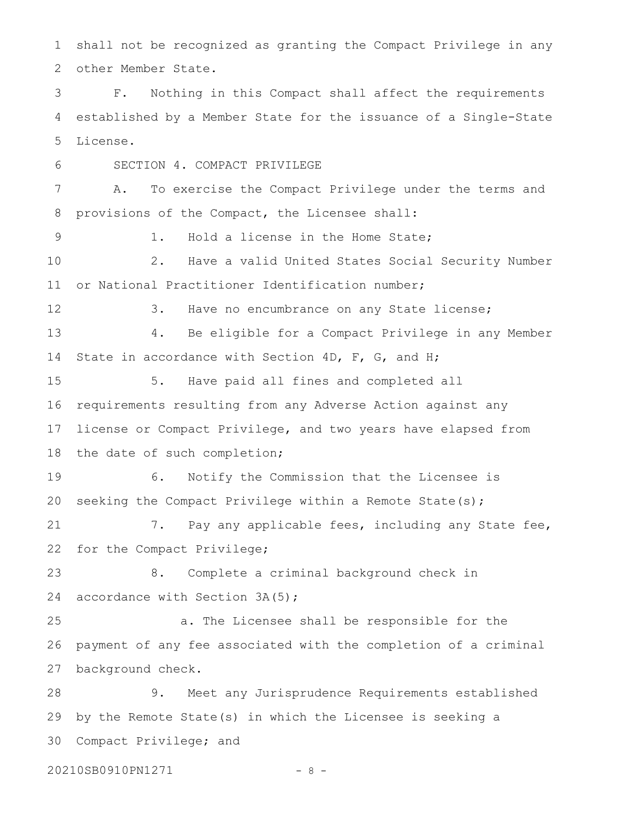shall not be recognized as granting the Compact Privilege in any other Member State. 1 2

 F. Nothing in this Compact shall affect the requirements established by a Member State for the issuance of a Single-State License. 3 4 5

 SECTION 4. COMPACT PRIVILEGE A. To exercise the Compact Privilege under the terms and provisions of the Compact, the Licensee shall: 1. Hold a license in the Home State; 2. Have a valid United States Social Security Number or National Practitioner Identification number; 3. Have no encumbrance on any State license; 4. Be eligible for a Compact Privilege in any Member State in accordance with Section 4D, F, G, and H; 5. Have paid all fines and completed all requirements resulting from any Adverse Action against any license or Compact Privilege, and two years have elapsed from the date of such completion; 6. Notify the Commission that the Licensee is seeking the Compact Privilege within a Remote State(s); 7. Pay any applicable fees, including any State fee, for the Compact Privilege; 8. Complete a criminal background check in accordance with Section 3A(5); a. The Licensee shall be responsible for the payment of any fee associated with the completion of a criminal background check. 9. Meet any Jurisprudence Requirements established by the Remote State(s) in which the Licensee is seeking a Compact Privilege; and 6 7 8 9 10 11 12 13 14 15 16 17 18 19 20 21 22 23 24 25 26 27 28 29 30

20210SB0910PN1271 - 8 -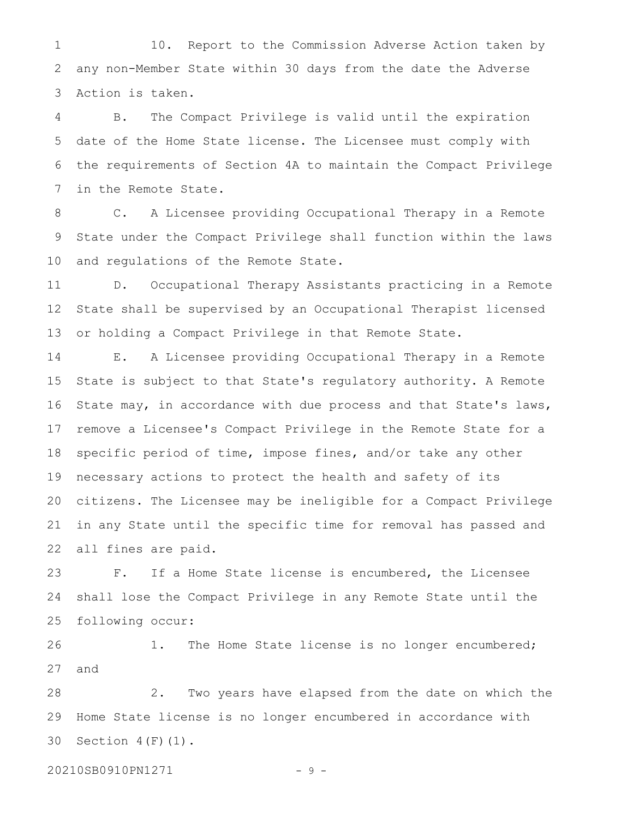10. Report to the Commission Adverse Action taken by any non-Member State within 30 days from the date the Adverse Action is taken. 1 2 3

 B. The Compact Privilege is valid until the expiration date of the Home State license. The Licensee must comply with the requirements of Section 4A to maintain the Compact Privilege in the Remote State. 4 5 6 7

 C. A Licensee providing Occupational Therapy in a Remote State under the Compact Privilege shall function within the laws and regulations of the Remote State. 8 9 10

 D. Occupational Therapy Assistants practicing in a Remote State shall be supervised by an Occupational Therapist licensed or holding a Compact Privilege in that Remote State. 11 12 13

 E. A Licensee providing Occupational Therapy in a Remote State is subject to that State's regulatory authority. A Remote State may, in accordance with due process and that State's laws, remove a Licensee's Compact Privilege in the Remote State for a specific period of time, impose fines, and/or take any other necessary actions to protect the health and safety of its citizens. The Licensee may be ineligible for a Compact Privilege in any State until the specific time for removal has passed and all fines are paid. 14 15 16 17 18 19 20 21 22

 F. If a Home State license is encumbered, the Licensee shall lose the Compact Privilege in any Remote State until the following occur: 23 24 25

 1. The Home State license is no longer encumbered; and 26 27

 2. Two years have elapsed from the date on which the Home State license is no longer encumbered in accordance with Section  $4(F)(1)$ . 28 29 30

20210SB0910PN1271 - 9 -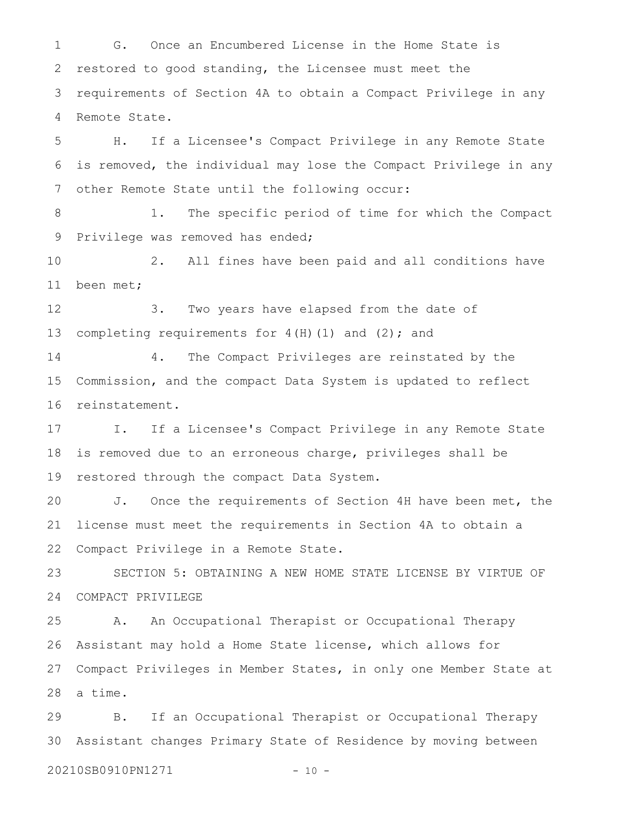G. Once an Encumbered License in the Home State is restored to good standing, the Licensee must meet the requirements of Section 4A to obtain a Compact Privilege in any Remote State. 1 2 3 4

 H. If a Licensee's Compact Privilege in any Remote State is removed, the individual may lose the Compact Privilege in any other Remote State until the following occur: 5 6 7

 1. The specific period of time for which the Compact Privilege was removed has ended; 8 9

 2. All fines have been paid and all conditions have been met; 10 11

 3. Two years have elapsed from the date of completing requirements for  $4(H)(1)$  and  $(2)$ ; and 12 13

 4. The Compact Privileges are reinstated by the Commission, and the compact Data System is updated to reflect reinstatement. 14 15 16

 I. If a Licensee's Compact Privilege in any Remote State is removed due to an erroneous charge, privileges shall be restored through the compact Data System. 17 18 19

 J. Once the requirements of Section 4H have been met, the license must meet the requirements in Section 4A to obtain a Compact Privilege in a Remote State. 20 21 22

 SECTION 5: OBTAINING A NEW HOME STATE LICENSE BY VIRTUE OF COMPACT PRIVILEGE 23 24

 A. An Occupational Therapist or Occupational Therapy Assistant may hold a Home State license, which allows for Compact Privileges in Member States, in only one Member State at a time. 25 26 27 28

 B. If an Occupational Therapist or Occupational Therapy Assistant changes Primary State of Residence by moving between 20210SB0910PN1271 - 10 -29 30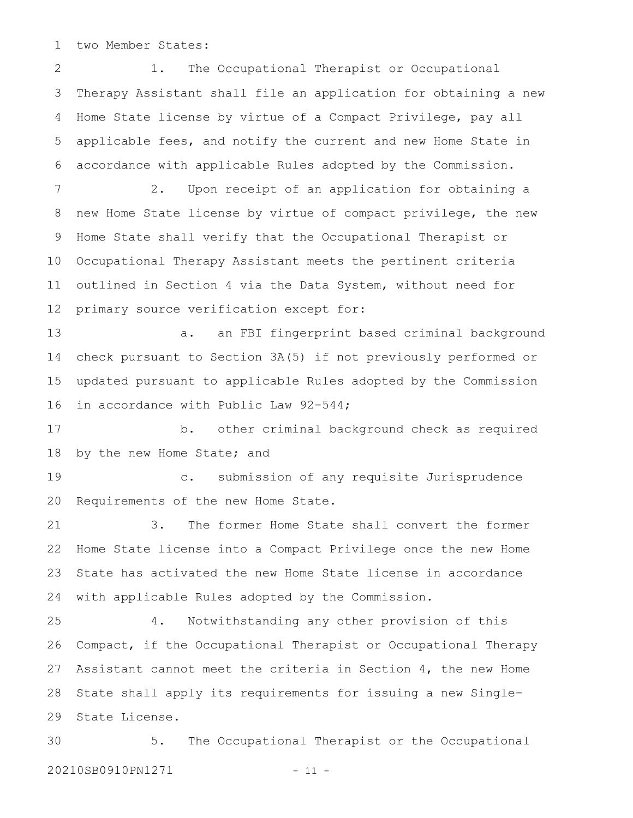two Member States: 1

 1. The Occupational Therapist or Occupational Therapy Assistant shall file an application for obtaining a new Home State license by virtue of a Compact Privilege, pay all applicable fees, and notify the current and new Home State in accordance with applicable Rules adopted by the Commission. 2. Upon receipt of an application for obtaining a new Home State license by virtue of compact privilege, the new Home State shall verify that the Occupational Therapist or Occupational Therapy Assistant meets the pertinent criteria outlined in Section 4 via the Data System, without need for primary source verification except for: a. an FBI fingerprint based criminal background check pursuant to Section 3A(5) if not previously performed or updated pursuant to applicable Rules adopted by the Commission in accordance with Public Law 92-544; b. other criminal background check as required by the new Home State; and c. submission of any requisite Jurisprudence Requirements of the new Home State. 3. The former Home State shall convert the former Home State license into a Compact Privilege once the new Home State has activated the new Home State license in accordance with applicable Rules adopted by the Commission. 4. Notwithstanding any other provision of this Compact, if the Occupational Therapist or Occupational Therapy Assistant cannot meet the criteria in Section 4, the new Home State shall apply its requirements for issuing a new Single-State License. 5. The Occupational Therapist or the Occupational 20210SB0910PN1271 - 11 -2 3 4 5 6 7 8 9 10 11 12 13 14 15 16 17 18 19 20 21 22 23 24 25 26 27 28 29 30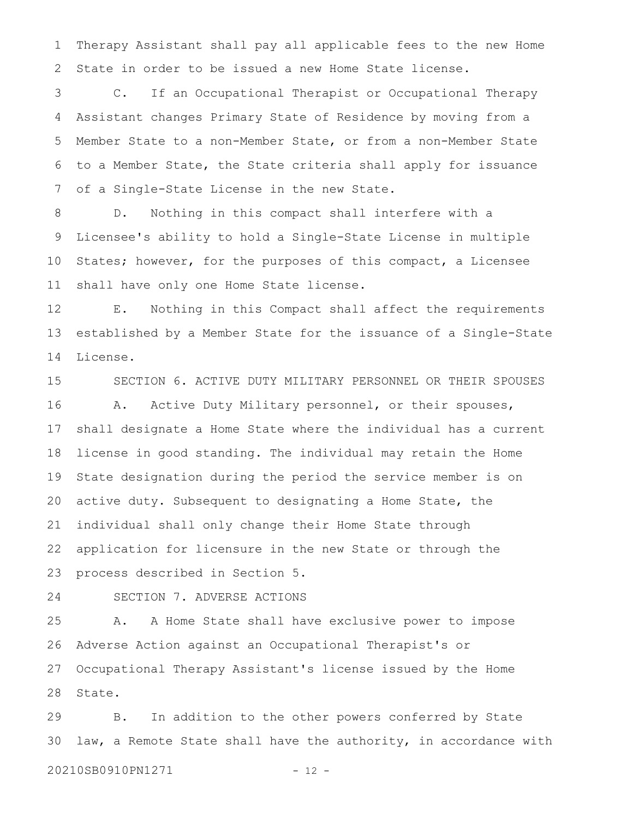Therapy Assistant shall pay all applicable fees to the new Home State in order to be issued a new Home State license. 1 2

 C. If an Occupational Therapist or Occupational Therapy Assistant changes Primary State of Residence by moving from a Member State to a non-Member State, or from a non-Member State to a Member State, the State criteria shall apply for issuance of a Single-State License in the new State. 3 4 5 6 7

 D. Nothing in this compact shall interfere with a Licensee's ability to hold a Single-State License in multiple States; however, for the purposes of this compact, a Licensee shall have only one Home State license. 8 9 10 11

 E. Nothing in this Compact shall affect the requirements established by a Member State for the issuance of a Single-State License. 12 13 14

 SECTION 6. ACTIVE DUTY MILITARY PERSONNEL OR THEIR SPOUSES A. Active Duty Military personnel, or their spouses, shall designate a Home State where the individual has a current license in good standing. The individual may retain the Home State designation during the period the service member is on active duty. Subsequent to designating a Home State, the individual shall only change their Home State through application for licensure in the new State or through the process described in Section 5. 15 16 17 18 19 20 21 22 23

24

SECTION 7. ADVERSE ACTIONS

 A. A Home State shall have exclusive power to impose Adverse Action against an Occupational Therapist's or Occupational Therapy Assistant's license issued by the Home State. 25 26 27 28

 B. In addition to the other powers conferred by State law, a Remote State shall have the authority, in accordance with 20210SB0910PN1271 - 12 -29 30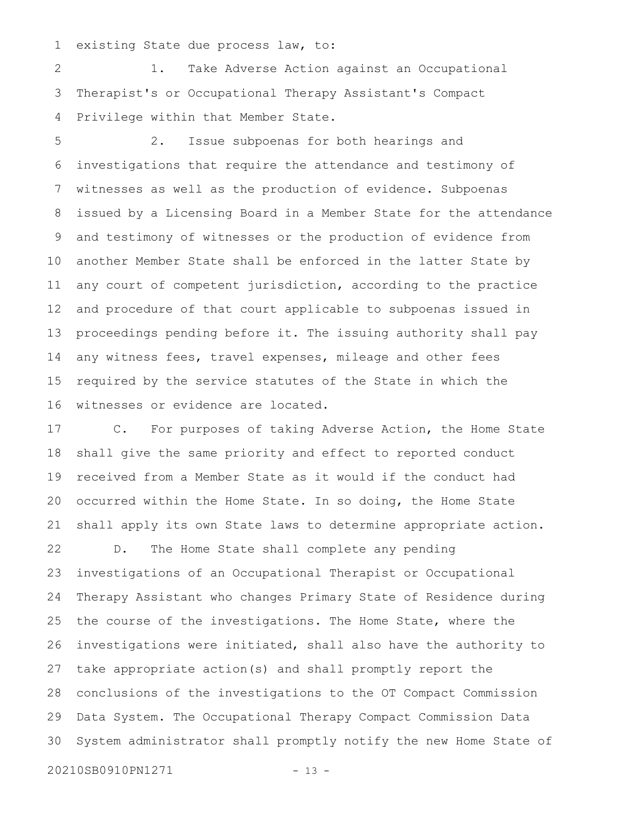existing State due process law, to: 1

 1. Take Adverse Action against an Occupational Therapist's or Occupational Therapy Assistant's Compact Privilege within that Member State. 2 3 4

 2. Issue subpoenas for both hearings and investigations that require the attendance and testimony of witnesses as well as the production of evidence. Subpoenas issued by a Licensing Board in a Member State for the attendance and testimony of witnesses or the production of evidence from another Member State shall be enforced in the latter State by any court of competent jurisdiction, according to the practice and procedure of that court applicable to subpoenas issued in proceedings pending before it. The issuing authority shall pay any witness fees, travel expenses, mileage and other fees required by the service statutes of the State in which the witnesses or evidence are located. 5 6 7 8 9 10 11 12 13 14 15 16

 C. For purposes of taking Adverse Action, the Home State shall give the same priority and effect to reported conduct received from a Member State as it would if the conduct had occurred within the Home State. In so doing, the Home State shall apply its own State laws to determine appropriate action. 17 18 19 20 21

 D. The Home State shall complete any pending investigations of an Occupational Therapist or Occupational Therapy Assistant who changes Primary State of Residence during the course of the investigations. The Home State, where the investigations were initiated, shall also have the authority to take appropriate action(s) and shall promptly report the conclusions of the investigations to the OT Compact Commission Data System. The Occupational Therapy Compact Commission Data System administrator shall promptly notify the new Home State of 20210SB0910PN1271 - 13 -22 23 24 25 26 27 28 29 30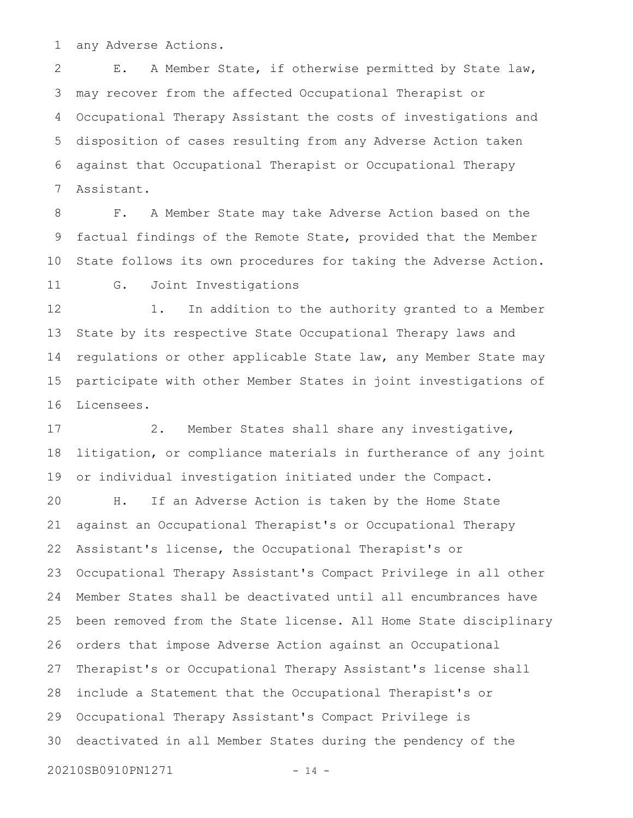any Adverse Actions. 1

 E. A Member State, if otherwise permitted by State law, may recover from the affected Occupational Therapist or Occupational Therapy Assistant the costs of investigations and disposition of cases resulting from any Adverse Action taken against that Occupational Therapist or Occupational Therapy Assistant. 2 3 4 5 6 7

 F. A Member State may take Adverse Action based on the factual findings of the Remote State, provided that the Member State follows its own procedures for taking the Adverse Action. G. Joint Investigations 8 9 10 11

 1. In addition to the authority granted to a Member State by its respective State Occupational Therapy laws and regulations or other applicable State law, any Member State may participate with other Member States in joint investigations of Licensees. 12 13 14 15 16

 2. Member States shall share any investigative, litigation, or compliance materials in furtherance of any joint or individual investigation initiated under the Compact. H. If an Adverse Action is taken by the Home State against an Occupational Therapist's or Occupational Therapy Assistant's license, the Occupational Therapist's or Occupational Therapy Assistant's Compact Privilege in all other Member States shall be deactivated until all encumbrances have been removed from the State license. All Home State disciplinary orders that impose Adverse Action against an Occupational Therapist's or Occupational Therapy Assistant's license shall include a Statement that the Occupational Therapist's or Occupational Therapy Assistant's Compact Privilege is deactivated in all Member States during the pendency of the 20210SB0910PN1271 - 14 -17 18 19 20 21 22 23 24 25 26 27 28 29 30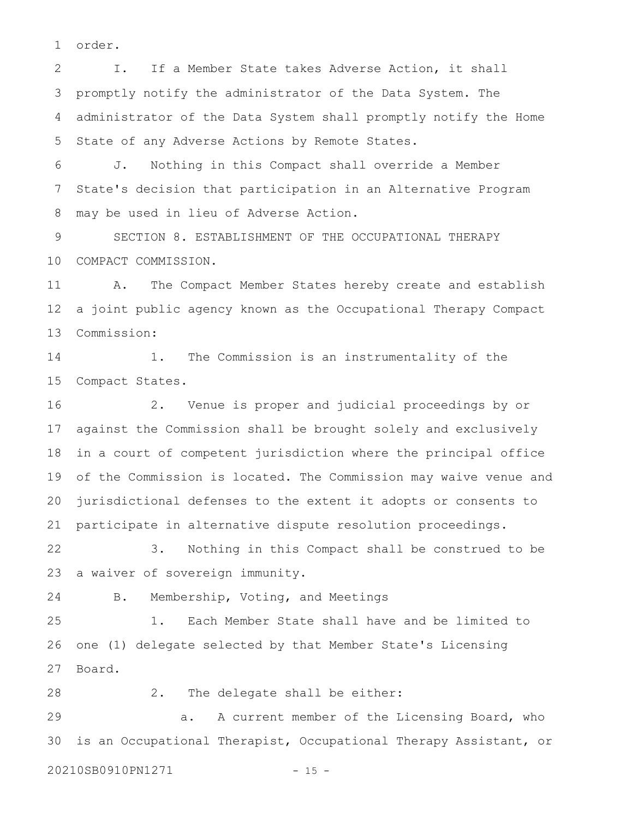order. 1

 I. If a Member State takes Adverse Action, it shall promptly notify the administrator of the Data System. The administrator of the Data System shall promptly notify the Home State of any Adverse Actions by Remote States. 2 3 4 5

 J. Nothing in this Compact shall override a Member State's decision that participation in an Alternative Program may be used in lieu of Adverse Action. 6 7 8

 SECTION 8. ESTABLISHMENT OF THE OCCUPATIONAL THERAPY COMPACT COMMISSION. 9 10

 A. The Compact Member States hereby create and establish a joint public agency known as the Occupational Therapy Compact Commission: 11 12 13

 1. The Commission is an instrumentality of the Compact States. 14 15

 2. Venue is proper and judicial proceedings by or against the Commission shall be brought solely and exclusively in a court of competent jurisdiction where the principal office of the Commission is located. The Commission may waive venue and jurisdictional defenses to the extent it adopts or consents to participate in alternative dispute resolution proceedings. 16 17 18 19 20 21

 3. Nothing in this Compact shall be construed to be a waiver of sovereign immunity. 22 23

24

B. Membership, Voting, and Meetings

 1. Each Member State shall have and be limited to one (1) delegate selected by that Member State's Licensing Board. 25 26 27

 2. The delegate shall be either: 28

 a. A current member of the Licensing Board, who is an Occupational Therapist, Occupational Therapy Assistant, or 20210SB0910PN1271 - 15 -29 30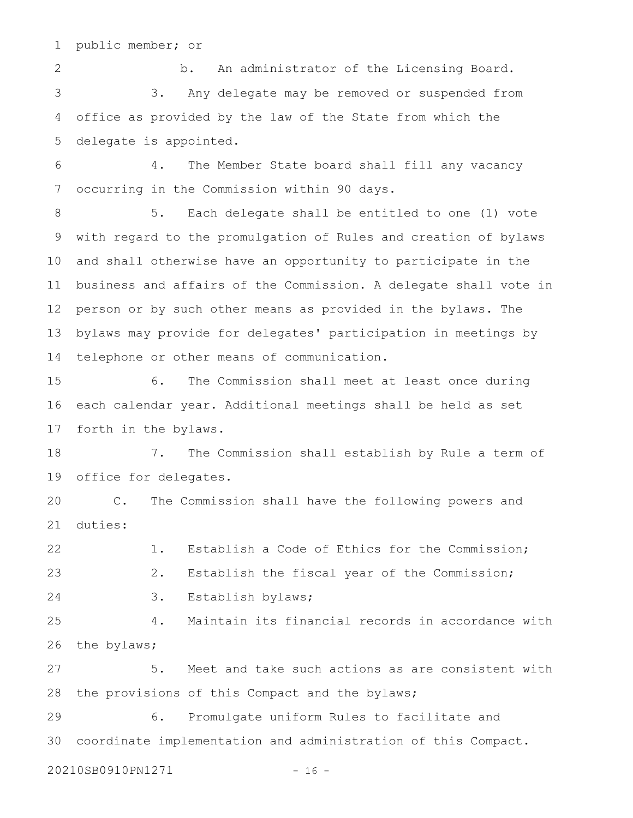public member; or 1

 b. An administrator of the Licensing Board. 3. Any delegate may be removed or suspended from office as provided by the law of the State from which the delegate is appointed. 2 3 4 5

 4. The Member State board shall fill any vacancy occurring in the Commission within 90 days. 6 7

 5. Each delegate shall be entitled to one (1) vote with regard to the promulgation of Rules and creation of bylaws and shall otherwise have an opportunity to participate in the business and affairs of the Commission. A delegate shall vote in person or by such other means as provided in the bylaws. The bylaws may provide for delegates' participation in meetings by telephone or other means of communication. 8 9 10 11 12 13 14

 6. The Commission shall meet at least once during each calendar year. Additional meetings shall be held as set forth in the bylaws. 15 16 17

 7. The Commission shall establish by Rule a term of office for delegates. 18 19

 C. The Commission shall have the following powers and duties: 20 21

 1. Establish a Code of Ethics for the Commission; 2. Establish the fiscal year of the Commission; 3. Establish bylaws; 22 23 24

 4. Maintain its financial records in accordance with the bylaws; 25 26

 5. Meet and take such actions as are consistent with the provisions of this Compact and the bylaws; 27 28

 6. Promulgate uniform Rules to facilitate and coordinate implementation and administration of this Compact. 29 30

20210SB0910PN1271 - 16 -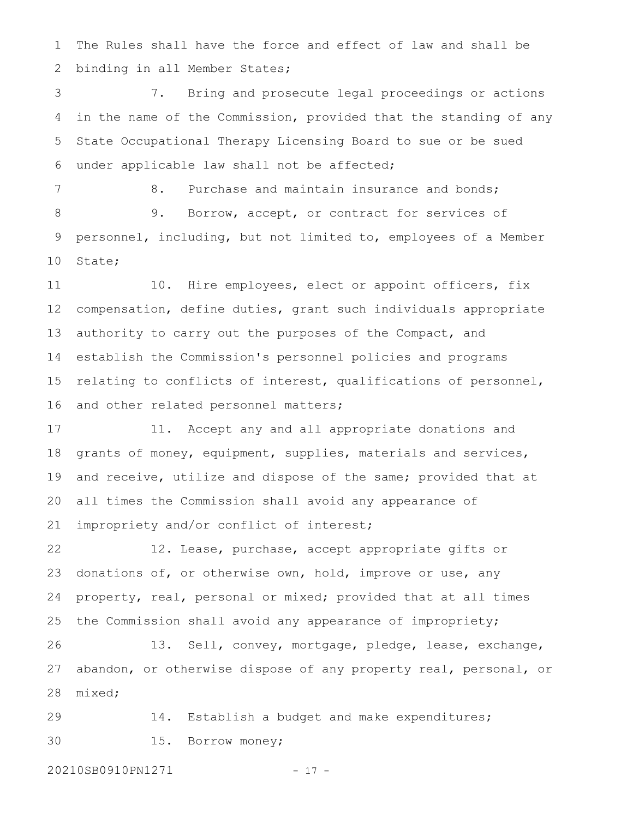The Rules shall have the force and effect of law and shall be binding in all Member States; 1 2

 7. Bring and prosecute legal proceedings or actions in the name of the Commission, provided that the standing of any State Occupational Therapy Licensing Board to sue or be sued under applicable law shall not be affected; 3 4 5 6

8. Purchase and maintain insurance and bonds; 9. Borrow, accept, or contract for services of personnel, including, but not limited to, employees of a Member State; 7 8 9 10

 10. Hire employees, elect or appoint officers, fix compensation, define duties, grant such individuals appropriate authority to carry out the purposes of the Compact, and establish the Commission's personnel policies and programs relating to conflicts of interest, qualifications of personnel, and other related personnel matters; 11 12 13 14 15 16

 11. Accept any and all appropriate donations and grants of money, equipment, supplies, materials and services, and receive, utilize and dispose of the same; provided that at all times the Commission shall avoid any appearance of impropriety and/or conflict of interest; 17 18 19 20 21

 12. Lease, purchase, accept appropriate gifts or donations of, or otherwise own, hold, improve or use, any property, real, personal or mixed; provided that at all times the Commission shall avoid any appearance of impropriety; 22 23 24 25

 13. Sell, convey, mortgage, pledge, lease, exchange, abandon, or otherwise dispose of any property real, personal, or mixed; 26 27 28

 14. Establish a budget and make expenditures; 15. Borrow money; 29 30

20210SB0910PN1271 - 17 -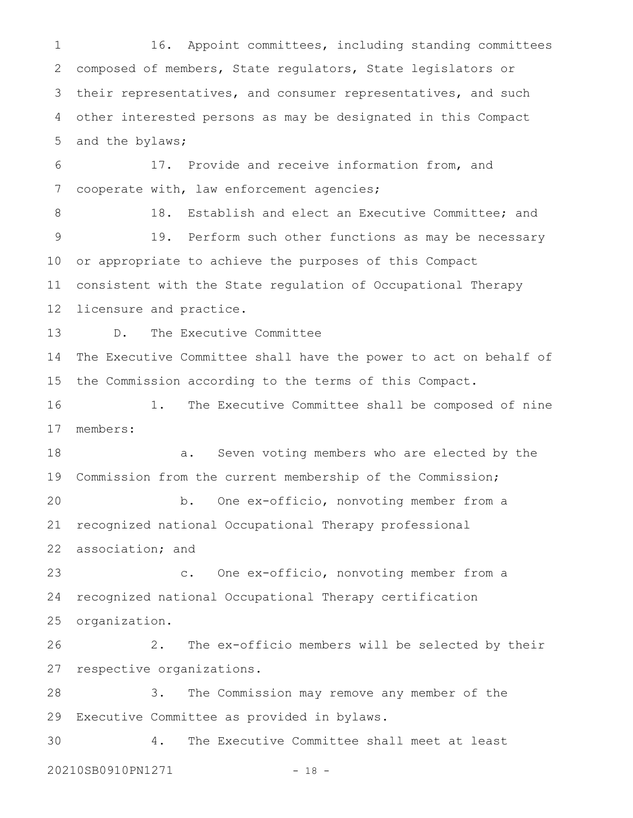16. Appoint committees, including standing committees composed of members, State regulators, State legislators or their representatives, and consumer representatives, and such other interested persons as may be designated in this Compact and the bylaws; 1 2 3 4 5

 17. Provide and receive information from, and cooperate with, law enforcement agencies; 6 7

 18. Establish and elect an Executive Committee; and 19. Perform such other functions as may be necessary or appropriate to achieve the purposes of this Compact consistent with the State regulation of Occupational Therapy licensure and practice. 8 9 10 11 12

 D. The Executive Committee 13

The Executive Committee shall have the power to act on behalf of the Commission according to the terms of this Compact. 14 15

 1. The Executive Committee shall be composed of nine members: 16 17

 a. Seven voting members who are elected by the Commission from the current membership of the Commission; b. One ex-officio, nonvoting member from a recognized national Occupational Therapy professional association; and 18 19 20 21 22

 c. One ex-officio, nonvoting member from a recognized national Occupational Therapy certification organization. 23 24 25

 2. The ex-officio members will be selected by their respective organizations. 26 27

 3. The Commission may remove any member of the Executive Committee as provided in bylaws. 28 29

 4. The Executive Committee shall meet at least 20210SB0910PN1271 - 18 -30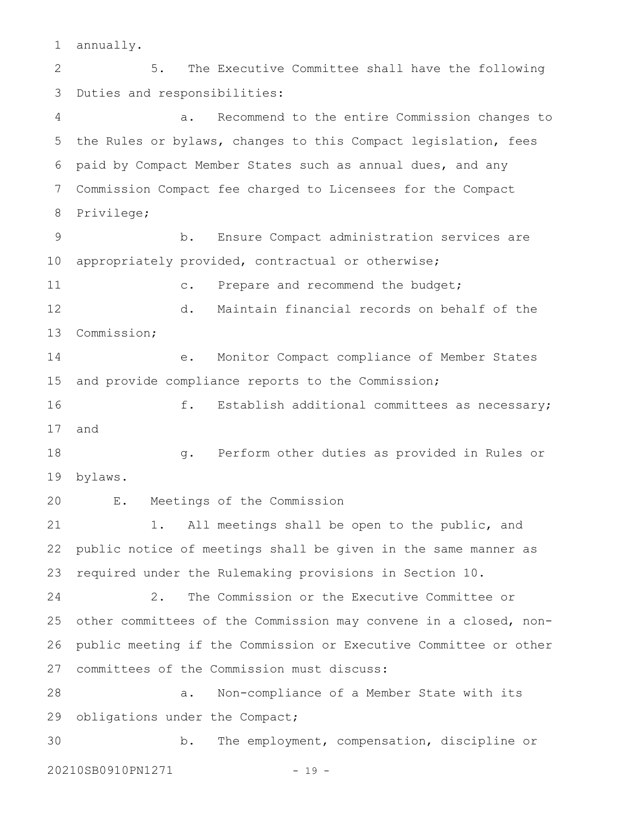annually. 1

 5. The Executive Committee shall have the following Duties and responsibilities: a. Recommend to the entire Commission changes to the Rules or bylaws, changes to this Compact legislation, fees paid by Compact Member States such as annual dues, and any Commission Compact fee charged to Licensees for the Compact Privilege; b. Ensure Compact administration services are appropriately provided, contractual or otherwise; c. Prepare and recommend the budget; d. Maintain financial records on behalf of the Commission; e. Monitor Compact compliance of Member States and provide compliance reports to the Commission; f. Establish additional committees as necessary; and g. Perform other duties as provided in Rules or bylaws. E. Meetings of the Commission 1. All meetings shall be open to the public, and public notice of meetings shall be given in the same manner as required under the Rulemaking provisions in Section 10. 2. The Commission or the Executive Committee or other committees of the Commission may convene in a closed, nonpublic meeting if the Commission or Executive Committee or other committees of the Commission must discuss: a. Non-compliance of a Member State with its obligations under the Compact; b. The employment, compensation, discipline or 20210SB0910PN1271 - 19 -2 3 4 5 6 7 8 9 10 11 12 13 14 15 16 17 18 19 20 21 22 23 24 25 26 27 28 29 30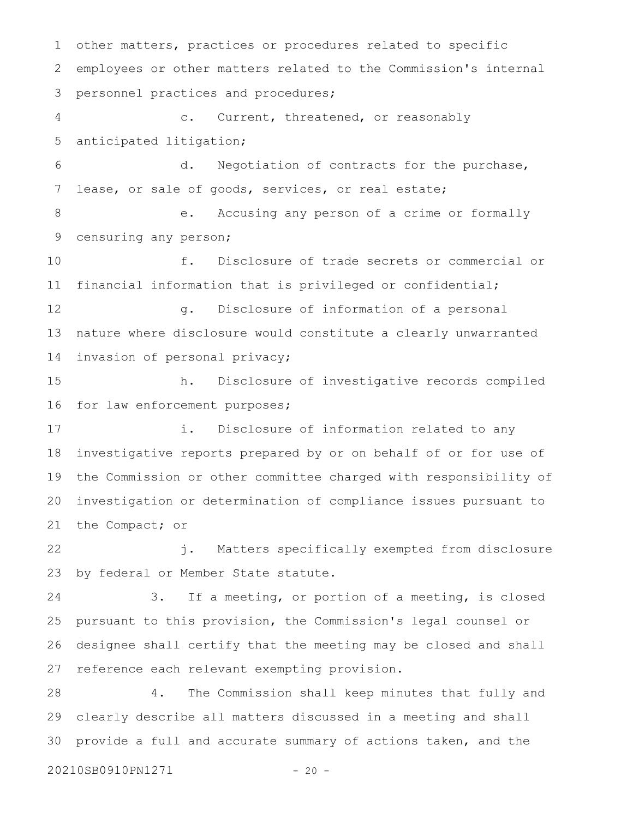other matters, practices or procedures related to specific employees or other matters related to the Commission's internal personnel practices and procedures; c. Current, threatened, or reasonably anticipated litigation; d. Negotiation of contracts for the purchase, lease, or sale of goods, services, or real estate; e. Accusing any person of a crime or formally censuring any person; f. Disclosure of trade secrets or commercial or financial information that is privileged or confidential; g. Disclosure of information of a personal nature where disclosure would constitute a clearly unwarranted invasion of personal privacy; h. Disclosure of investigative records compiled for law enforcement purposes; i. Disclosure of information related to any investigative reports prepared by or on behalf of or for use of the Commission or other committee charged with responsibility of investigation or determination of compliance issues pursuant to the Compact; or j. Matters specifically exempted from disclosure by federal or Member State statute. 3. If a meeting, or portion of a meeting, is closed pursuant to this provision, the Commission's legal counsel or designee shall certify that the meeting may be closed and shall reference each relevant exempting provision. 4. The Commission shall keep minutes that fully and clearly describe all matters discussed in a meeting and shall provide a full and accurate summary of actions taken, and the 1 2 3 4 5 6 7 8 9 10 11 12 13 14 15 16 17 18 19 20 21 22 23 24 25 26 27 28 29 30

20210SB0910PN1271 - 20 -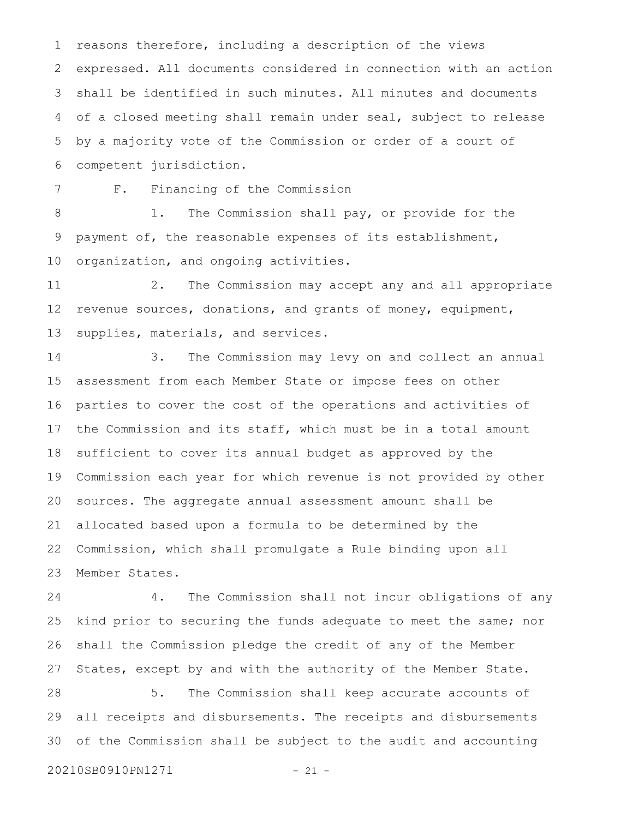reasons therefore, including a description of the views expressed. All documents considered in connection with an action shall be identified in such minutes. All minutes and documents of a closed meeting shall remain under seal, subject to release by a majority vote of the Commission or order of a court of competent jurisdiction. 1 2 3 4 5 6

7

F. Financing of the Commission

 1. The Commission shall pay, or provide for the payment of, the reasonable expenses of its establishment, organization, and ongoing activities. 8 9 10

 2. The Commission may accept any and all appropriate revenue sources, donations, and grants of money, equipment, supplies, materials, and services. 11 12 13

 3. The Commission may levy on and collect an annual assessment from each Member State or impose fees on other parties to cover the cost of the operations and activities of the Commission and its staff, which must be in a total amount sufficient to cover its annual budget as approved by the Commission each year for which revenue is not provided by other sources. The aggregate annual assessment amount shall be allocated based upon a formula to be determined by the Commission, which shall promulgate a Rule binding upon all Member States. 14 15 16 17 18 19 20 21 22 23

 4. The Commission shall not incur obligations of any kind prior to securing the funds adequate to meet the same; nor shall the Commission pledge the credit of any of the Member States, except by and with the authority of the Member State. 24 25 26 27

 5. The Commission shall keep accurate accounts of all receipts and disbursements. The receipts and disbursements of the Commission shall be subject to the audit and accounting 28 29 30

20210SB0910PN1271 - 21 -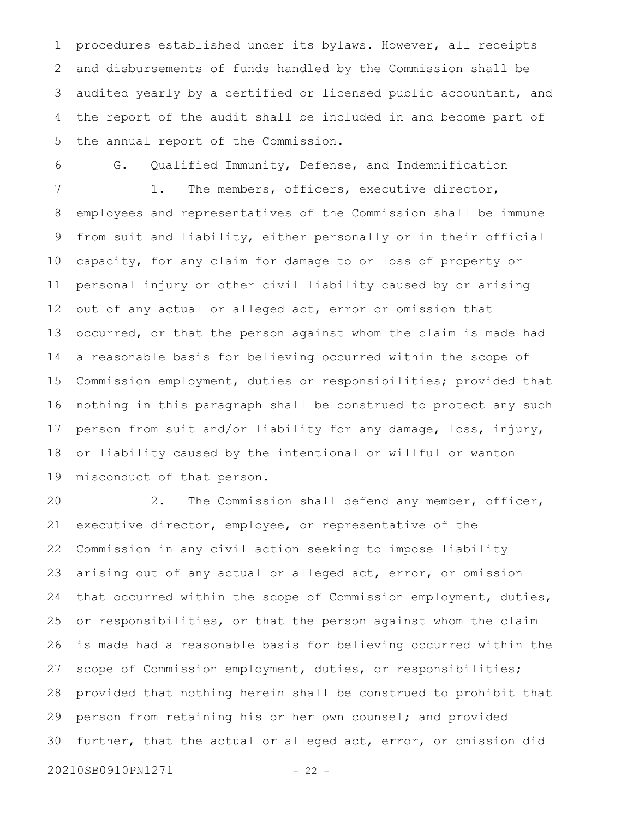procedures established under its bylaws. However, all receipts and disbursements of funds handled by the Commission shall be audited yearly by a certified or licensed public accountant, and the report of the audit shall be included in and become part of the annual report of the Commission. 1 2 3 4 5

 G. Qualified Immunity, Defense, and Indemnification 1. The members, officers, executive director, employees and representatives of the Commission shall be immune from suit and liability, either personally or in their official capacity, for any claim for damage to or loss of property or personal injury or other civil liability caused by or arising out of any actual or alleged act, error or omission that occurred, or that the person against whom the claim is made had a reasonable basis for believing occurred within the scope of Commission employment, duties or responsibilities; provided that nothing in this paragraph shall be construed to protect any such person from suit and/or liability for any damage, loss, injury, or liability caused by the intentional or willful or wanton misconduct of that person. 6 7 8 9 10 11 12 13 14 15 16 17 18 19

 2. The Commission shall defend any member, officer, executive director, employee, or representative of the Commission in any civil action seeking to impose liability arising out of any actual or alleged act, error, or omission that occurred within the scope of Commission employment, duties, or responsibilities, or that the person against whom the claim is made had a reasonable basis for believing occurred within the scope of Commission employment, duties, or responsibilities; provided that nothing herein shall be construed to prohibit that person from retaining his or her own counsel; and provided further, that the actual or alleged act, error, or omission did 20210SB0910PN1271 - 22 -20 21 22 23 24 25 26 27 28 29 30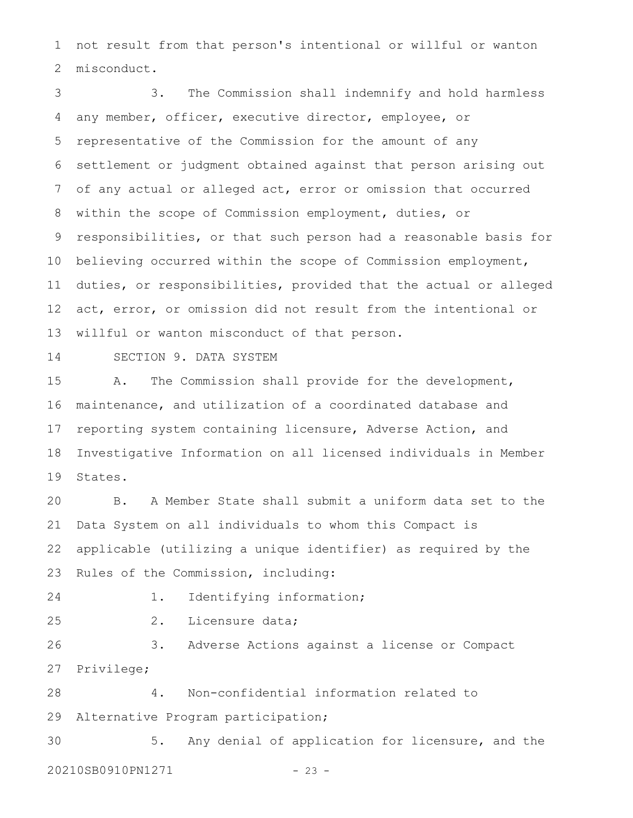not result from that person's intentional or willful or wanton misconduct. 1 2

 3. The Commission shall indemnify and hold harmless any member, officer, executive director, employee, or representative of the Commission for the amount of any settlement or judgment obtained against that person arising out of any actual or alleged act, error or omission that occurred within the scope of Commission employment, duties, or responsibilities, or that such person had a reasonable basis for believing occurred within the scope of Commission employment, duties, or responsibilities, provided that the actual or alleged act, error, or omission did not result from the intentional or willful or wanton misconduct of that person. 3 4 5 6 7 8 9 10 11 12 13

14

SECTION 9. DATA SYSTEM

 A. The Commission shall provide for the development, maintenance, and utilization of a coordinated database and reporting system containing licensure, Adverse Action, and Investigative Information on all licensed individuals in Member States. 15 16 17 18 19

 B. A Member State shall submit a uniform data set to the Data System on all individuals to whom this Compact is applicable (utilizing a unique identifier) as required by the Rules of the Commission, including: 20 21 22 23

24

1. Identifying information;

25

2. Licensure data;

 3. Adverse Actions against a license or Compact Privilege; 26 27

 4. Non-confidential information related to Alternative Program participation; 28 29

 5. Any denial of application for licensure, and the 20210SB0910PN1271 - 23 -30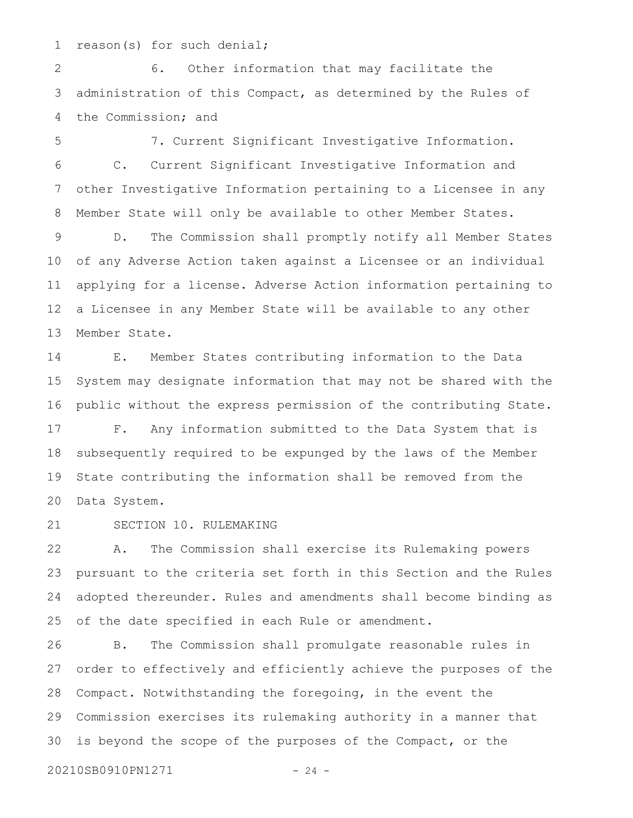reason(s) for such denial; 1

 6. Other information that may facilitate the administration of this Compact, as determined by the Rules of the Commission; and 2 3 4

 7. Current Significant Investigative Information. C. Current Significant Investigative Information and other Investigative Information pertaining to a Licensee in any Member State will only be available to other Member States. D. The Commission shall promptly notify all Member States of any Adverse Action taken against a Licensee or an individual applying for a license. Adverse Action information pertaining to a Licensee in any Member State will be available to any other Member State. 5 6 7 8 9 10 11 12 13

 E. Member States contributing information to the Data System may designate information that may not be shared with the public without the express permission of the contributing State. 14 15 16

 F. Any information submitted to the Data System that is subsequently required to be expunged by the laws of the Member State contributing the information shall be removed from the Data System. 17 18 19 20

 SECTION 10. RULEMAKING 21

 A. The Commission shall exercise its Rulemaking powers pursuant to the criteria set forth in this Section and the Rules adopted thereunder. Rules and amendments shall become binding as of the date specified in each Rule or amendment. 22 23 24 25

 B. The Commission shall promulgate reasonable rules in order to effectively and efficiently achieve the purposes of the Compact. Notwithstanding the foregoing, in the event the Commission exercises its rulemaking authority in a manner that is beyond the scope of the purposes of the Compact, or the 26 27 28 29 30

20210SB0910PN1271 - 24 -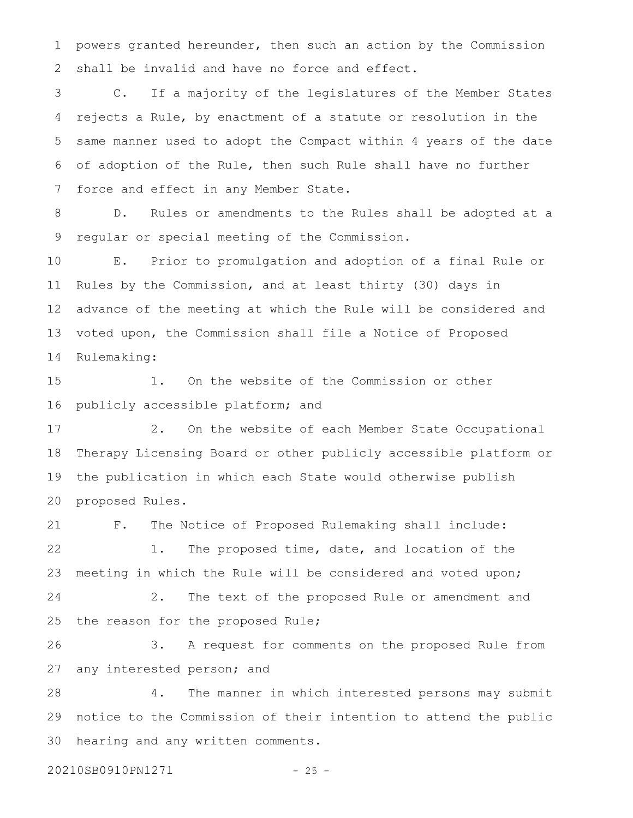powers granted hereunder, then such an action by the Commission shall be invalid and have no force and effect. 1 2

 C. If a majority of the legislatures of the Member States rejects a Rule, by enactment of a statute or resolution in the same manner used to adopt the Compact within 4 years of the date of adoption of the Rule, then such Rule shall have no further force and effect in any Member State. 3 4 5 6 7

 D. Rules or amendments to the Rules shall be adopted at a regular or special meeting of the Commission. 8 9

 E. Prior to promulgation and adoption of a final Rule or Rules by the Commission, and at least thirty (30) days in advance of the meeting at which the Rule will be considered and voted upon, the Commission shall file a Notice of Proposed Rulemaking: 10 11 12 13 14

 1. On the website of the Commission or other publicly accessible platform; and 15 16

 2. On the website of each Member State Occupational Therapy Licensing Board or other publicly accessible platform or the publication in which each State would otherwise publish proposed Rules. 17 18 19 20

 F. The Notice of Proposed Rulemaking shall include: 1. The proposed time, date, and location of the meeting in which the Rule will be considered and voted upon; 21 22 23

 2. The text of the proposed Rule or amendment and the reason for the proposed Rule; 24 25

 3. A request for comments on the proposed Rule from any interested person; and 26 27

 4. The manner in which interested persons may submit notice to the Commission of their intention to attend the public hearing and any written comments. 28 29 30

20210SB0910PN1271 - 25 -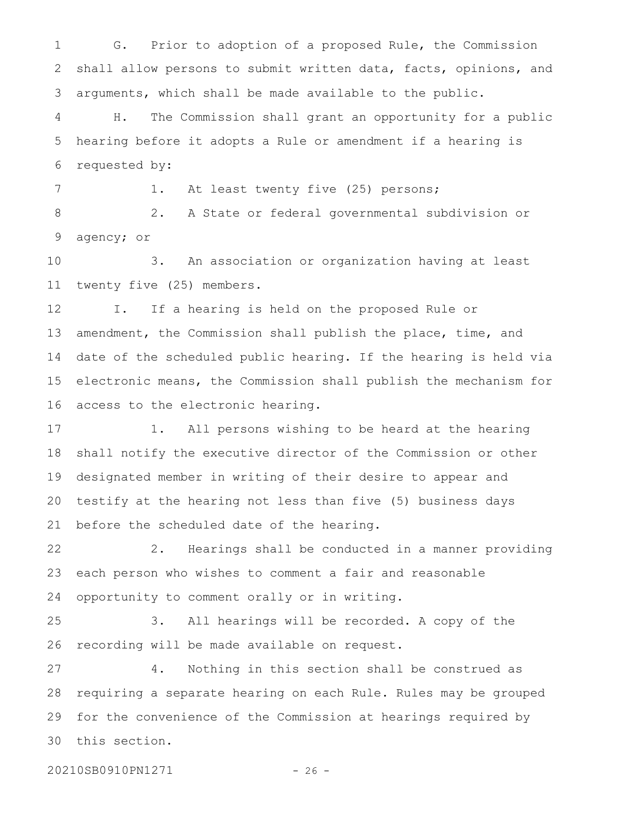G. Prior to adoption of a proposed Rule, the Commission shall allow persons to submit written data, facts, opinions, and arguments, which shall be made available to the public. 1 2 3

 H. The Commission shall grant an opportunity for a public hearing before it adopts a Rule or amendment if a hearing is requested by: 4 5 6

1. At least twenty five (25) persons;

 2. A State or federal governmental subdivision or agency; or 8 9

 3. An association or organization having at least twenty five (25) members. 10 11

 I. If a hearing is held on the proposed Rule or amendment, the Commission shall publish the place, time, and date of the scheduled public hearing. If the hearing is held via electronic means, the Commission shall publish the mechanism for access to the electronic hearing. 12 13 14 15 16

 1. All persons wishing to be heard at the hearing shall notify the executive director of the Commission or other designated member in writing of their desire to appear and testify at the hearing not less than five (5) business days before the scheduled date of the hearing. 17 18 19 20 21

 2. Hearings shall be conducted in a manner providing each person who wishes to comment a fair and reasonable opportunity to comment orally or in writing. 22 23 24

 3. All hearings will be recorded. A copy of the recording will be made available on request. 25 26

 4. Nothing in this section shall be construed as requiring a separate hearing on each Rule. Rules may be grouped for the convenience of the Commission at hearings required by this section. 27 28 29 30

20210SB0910PN1271 - 26 -

7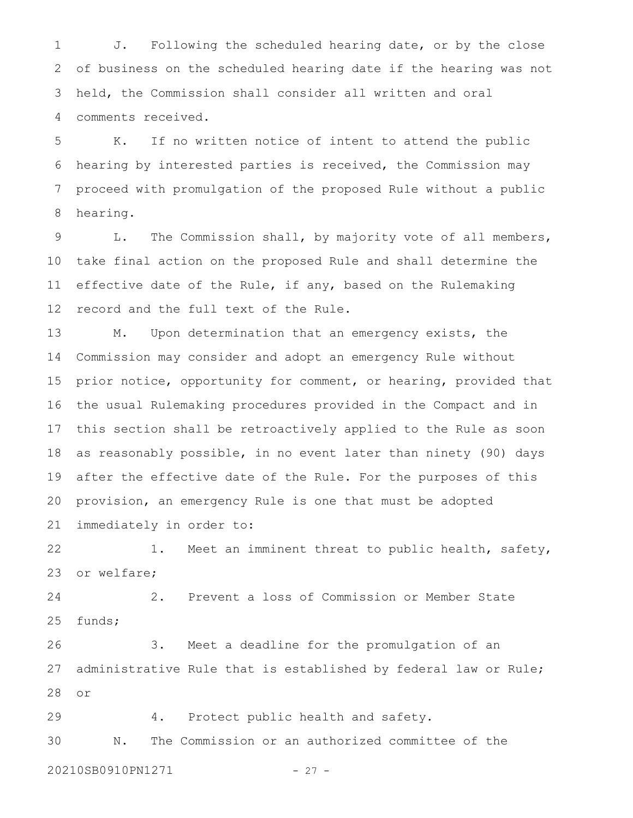J. Following the scheduled hearing date, or by the close of business on the scheduled hearing date if the hearing was not held, the Commission shall consider all written and oral comments received. 1 2 3 4

 K. If no written notice of intent to attend the public hearing by interested parties is received, the Commission may proceed with promulgation of the proposed Rule without a public hearing. 5 6 7 8

 L. The Commission shall, by majority vote of all members, take final action on the proposed Rule and shall determine the effective date of the Rule, if any, based on the Rulemaking record and the full text of the Rule. 9 10 11 12

 M. Upon determination that an emergency exists, the Commission may consider and adopt an emergency Rule without prior notice, opportunity for comment, or hearing, provided that the usual Rulemaking procedures provided in the Compact and in this section shall be retroactively applied to the Rule as soon as reasonably possible, in no event later than ninety (90) days after the effective date of the Rule. For the purposes of this provision, an emergency Rule is one that must be adopted immediately in order to: 13 14 15 16 17 18 19 20 21

 1. Meet an imminent threat to public health, safety, or welfare; 22 23

 2. Prevent a loss of Commission or Member State funds; 24 25

 3. Meet a deadline for the promulgation of an administrative Rule that is established by federal law or Rule; or 26 27 28

 4. Protect public health and safety. 29

 N. The Commission or an authorized committee of the 30

20210SB0910PN1271 - 27 -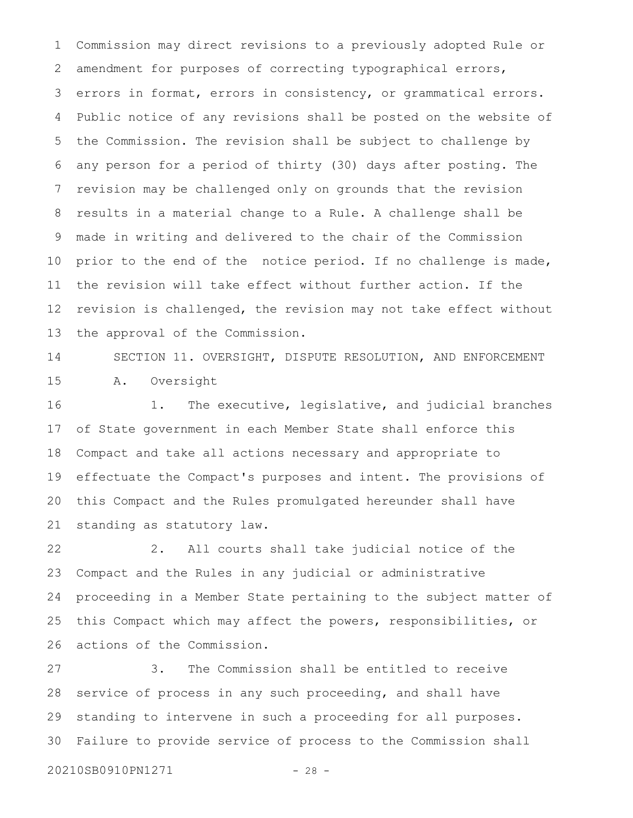Commission may direct revisions to a previously adopted Rule or amendment for purposes of correcting typographical errors, errors in format, errors in consistency, or grammatical errors. Public notice of any revisions shall be posted on the website of the Commission. The revision shall be subject to challenge by any person for a period of thirty (30) days after posting. The revision may be challenged only on grounds that the revision results in a material change to a Rule. A challenge shall be made in writing and delivered to the chair of the Commission prior to the end of the notice period. If no challenge is made, the revision will take effect without further action. If the revision is challenged, the revision may not take effect without the approval of the Commission. 1 2 3 4 5 6 7 8 9 10 11 12 13

 SECTION 11. OVERSIGHT, DISPUTE RESOLUTION, AND ENFORCEMENT A. Oversight 14 15

 1. The executive, legislative, and judicial branches of State government in each Member State shall enforce this Compact and take all actions necessary and appropriate to effectuate the Compact's purposes and intent. The provisions of this Compact and the Rules promulgated hereunder shall have standing as statutory law. 16 17 18 19 20 21

 2. All courts shall take judicial notice of the Compact and the Rules in any judicial or administrative proceeding in a Member State pertaining to the subject matter of this Compact which may affect the powers, responsibilities, or actions of the Commission. 22 23 24 25 26

 3. The Commission shall be entitled to receive service of process in any such proceeding, and shall have standing to intervene in such a proceeding for all purposes. Failure to provide service of process to the Commission shall 27 28 29 30

```
20210SB0910PN1271 - 28 -
```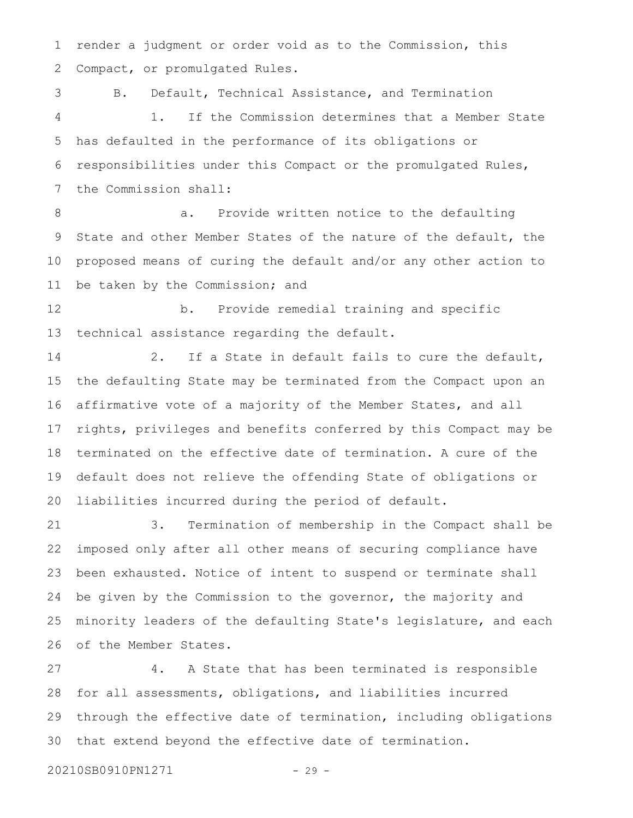render a judgment or order void as to the Commission, this Compact, or promulgated Rules. 1 2

 B. Default, Technical Assistance, and Termination 1. If the Commission determines that a Member State has defaulted in the performance of its obligations or responsibilities under this Compact or the promulgated Rules, the Commission shall: 3 4 5 6 7

 a. Provide written notice to the defaulting State and other Member States of the nature of the default, the proposed means of curing the default and/or any other action to be taken by the Commission; and 8 9 10 11

 b. Provide remedial training and specific technical assistance regarding the default. 12 13

 2. If a State in default fails to cure the default, the defaulting State may be terminated from the Compact upon an affirmative vote of a majority of the Member States, and all rights, privileges and benefits conferred by this Compact may be terminated on the effective date of termination. A cure of the default does not relieve the offending State of obligations or liabilities incurred during the period of default. 14 15 16 17 18 19 20

 3. Termination of membership in the Compact shall be imposed only after all other means of securing compliance have been exhausted. Notice of intent to suspend or terminate shall be given by the Commission to the governor, the majority and minority leaders of the defaulting State's legislature, and each of the Member States. 21 22 23 24 25 26

 4. A State that has been terminated is responsible for all assessments, obligations, and liabilities incurred through the effective date of termination, including obligations that extend beyond the effective date of termination. 27 28 29 30

20210SB0910PN1271 - 29 -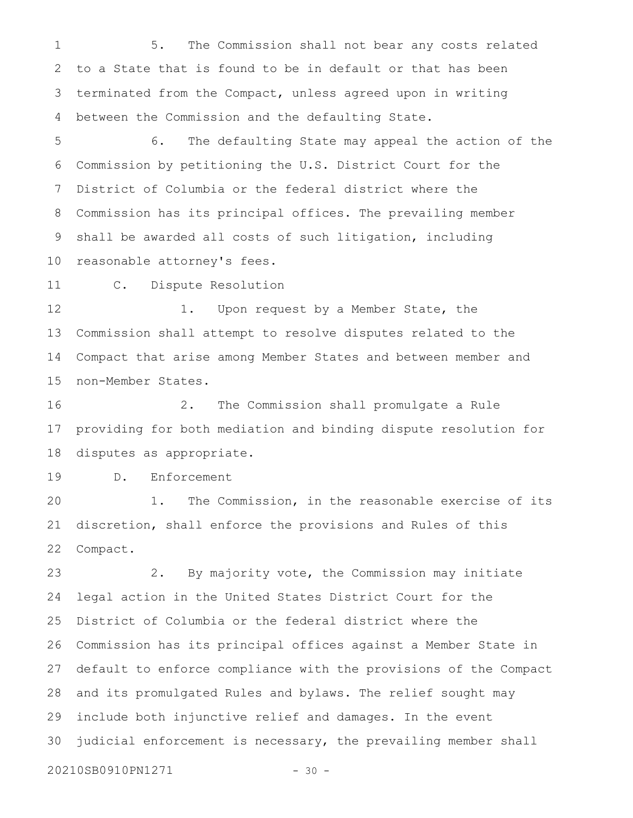5. The Commission shall not bear any costs related to a State that is found to be in default or that has been terminated from the Compact, unless agreed upon in writing between the Commission and the defaulting State. 1 2 3 4

 6. The defaulting State may appeal the action of the Commission by petitioning the U.S. District Court for the District of Columbia or the federal district where the Commission has its principal offices. The prevailing member shall be awarded all costs of such litigation, including reasonable attorney's fees. 5 6 7 8 9 10

 C. Dispute Resolution 11

 1. Upon request by a Member State, the Commission shall attempt to resolve disputes related to the Compact that arise among Member States and between member and non-Member States. 12 13 14 15

 2. The Commission shall promulgate a Rule providing for both mediation and binding dispute resolution for disputes as appropriate. 16 17 18

 D. Enforcement 19

 1. The Commission, in the reasonable exercise of its discretion, shall enforce the provisions and Rules of this Compact. 20 21 22

 2. By majority vote, the Commission may initiate legal action in the United States District Court for the District of Columbia or the federal district where the Commission has its principal offices against a Member State in default to enforce compliance with the provisions of the Compact and its promulgated Rules and bylaws. The relief sought may include both injunctive relief and damages. In the event judicial enforcement is necessary, the prevailing member shall 23 24 25 26 27 28 29 30

20210SB0910PN1271 - 30 -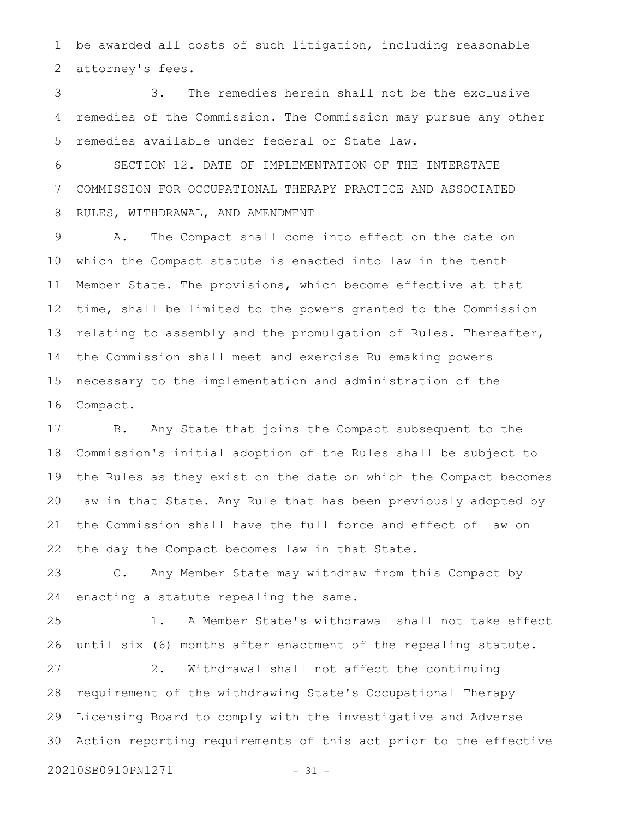be awarded all costs of such litigation, including reasonable attorney's fees. 1 2

 3. The remedies herein shall not be the exclusive remedies of the Commission. The Commission may pursue any other remedies available under federal or State law. 3 4 5

 SECTION 12. DATE OF IMPLEMENTATION OF THE INTERSTATE COMMISSION FOR OCCUPATIONAL THERAPY PRACTICE AND ASSOCIATED RULES, WITHDRAWAL, AND AMENDMENT 6 7 8

 A. The Compact shall come into effect on the date on which the Compact statute is enacted into law in the tenth Member State. The provisions, which become effective at that time, shall be limited to the powers granted to the Commission relating to assembly and the promulgation of Rules. Thereafter, the Commission shall meet and exercise Rulemaking powers necessary to the implementation and administration of the Compact. 9 10 11 12 13 14 15 16

 B. Any State that joins the Compact subsequent to the Commission's initial adoption of the Rules shall be subject to the Rules as they exist on the date on which the Compact becomes law in that State. Any Rule that has been previously adopted by the Commission shall have the full force and effect of law on the day the Compact becomes law in that State. 17 18 19 20 21 22

 C. Any Member State may withdraw from this Compact by enacting a statute repealing the same. 23 24

 1. A Member State's withdrawal shall not take effect until six (6) months after enactment of the repealing statute. 2. Withdrawal shall not affect the continuing requirement of the withdrawing State's Occupational Therapy Licensing Board to comply with the investigative and Adverse Action reporting requirements of this act prior to the effective 20210SB0910PN1271 - 31 -25 26 27 28 29 30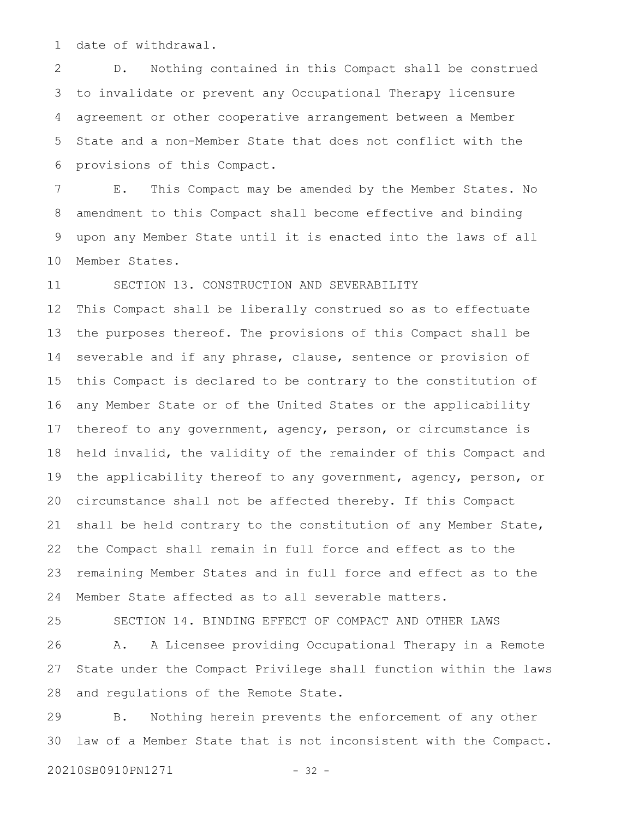date of withdrawal. 1

 D. Nothing contained in this Compact shall be construed to invalidate or prevent any Occupational Therapy licensure agreement or other cooperative arrangement between a Member State and a non-Member State that does not conflict with the provisions of this Compact. 2 3 4 5 6

 E. This Compact may be amended by the Member States. No amendment to this Compact shall become effective and binding upon any Member State until it is enacted into the laws of all Member States. 7 8 9 10

 SECTION 13. CONSTRUCTION AND SEVERABILITY 11

This Compact shall be liberally construed so as to effectuate the purposes thereof. The provisions of this Compact shall be severable and if any phrase, clause, sentence or provision of this Compact is declared to be contrary to the constitution of any Member State or of the United States or the applicability thereof to any government, agency, person, or circumstance is held invalid, the validity of the remainder of this Compact and the applicability thereof to any government, agency, person, or circumstance shall not be affected thereby. If this Compact shall be held contrary to the constitution of any Member State, the Compact shall remain in full force and effect as to the remaining Member States and in full force and effect as to the Member State affected as to all severable matters. 12 13 14 15 16 17 18 19 20 21 22 23 24

25

 SECTION 14. BINDING EFFECT OF COMPACT AND OTHER LAWS A. A Licensee providing Occupational Therapy in a Remote State under the Compact Privilege shall function within the laws and regulations of the Remote State. 26 27 28

 B. Nothing herein prevents the enforcement of any other law of a Member State that is not inconsistent with the Compact. 29 30

20210SB0910PN1271 - 32 -